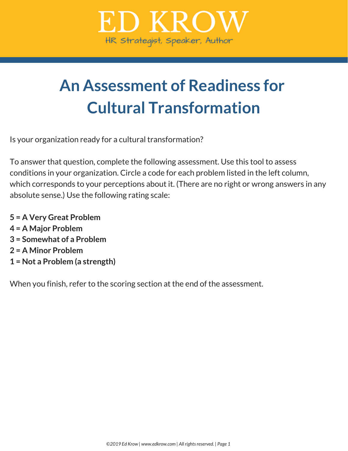

# **An Assessment of Readiness for Cultural Transformation**

Is your organization ready for a cultural transformation?

To answer that question, complete the following assessment. Use this tool to assess conditions in your organization. Circle a code for each problem listed in the left column, which corresponds to your perceptions about it. (There are no right or wrong answers in any absolute sense.) Use the following rating scale:

 **= A Very Great Problem = A Major Problem = Somewhat of a Problem = A Minor Problem = Not a Problem (a strength)**

When you finish, refer to the scoring section at the end of the assessment.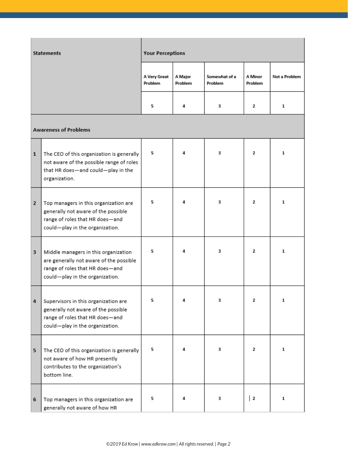| <b>Statements</b>            |                                                                                                                                                       | <b>Your Perceptions</b> |                    |                          |                                  |               |  |
|------------------------------|-------------------------------------------------------------------------------------------------------------------------------------------------------|-------------------------|--------------------|--------------------------|----------------------------------|---------------|--|
|                              |                                                                                                                                                       | A Very Great<br>Problem | A Major<br>Problem | Somewhat of a<br>Problem | A Minor<br>Problem               | Not a Problem |  |
|                              |                                                                                                                                                       | 5                       | 4                  | 3                        | 2                                | 1             |  |
| <b>Awareness of Problems</b> |                                                                                                                                                       |                         |                    |                          |                                  |               |  |
| $\mathbf{1}$                 | The CEO of this organization is generally<br>not aware of the possible range of roles<br>that HR does-and could-play in the<br>organization.          | 5                       | 4                  | 3                        | 2                                | 1             |  |
| $\mathbf{2}$                 | Top managers in this organization are<br>generally not aware of the possible<br>range of roles that HR does-and<br>could-play in the organization.    | 5                       | 4                  | 3                        | 2                                | 1             |  |
| 3                            | Middle managers in this organization<br>are generally not aware of the possible<br>range of roles that HR does-and<br>could-play in the organization. | 5                       | 4                  | 3                        | 2                                | 1             |  |
| 4                            | Supervisors in this organization are<br>generally not aware of the possible<br>range of roles that HR does-and<br>could-play in the organization.     | 5                       |                    | 3.                       | $\mathbf{z}$                     | 1             |  |
| 5                            | The CEO of this organization is generally<br>not aware of how HR presently<br>contributes to the organization's<br>bottom line.                       | 5                       | 4                  | 3.                       | 2                                | $\mathbf{1}$  |  |
| 6                            | Top managers in this organization are<br>generally not aware of how HR                                                                                | 5                       | 4                  | 3                        | $\begin{array}{c} 2 \end{array}$ | 1             |  |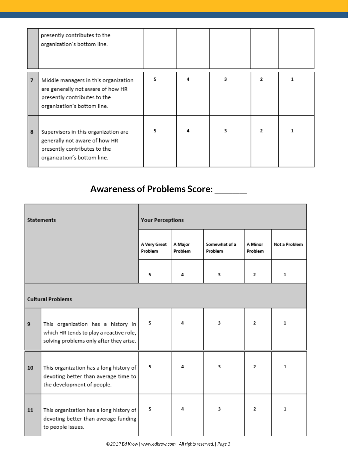|                | presently contributes to the<br>organization's bottom line.                                                                              |   |   |   |              |   |
|----------------|------------------------------------------------------------------------------------------------------------------------------------------|---|---|---|--------------|---|
| $\overline{7}$ | Middle managers in this organization<br>are generally not aware of how HR<br>presently contributes to the<br>organization's bottom line. | 5 | Δ | 3 | $\mathbf{z}$ |   |
| 8              | Supervisors in this organization are<br>generally not aware of how HR<br>presently contributes to the<br>organization's bottom line.     | 5 |   | з | $\mathbf{z}$ | 1 |

## **Awareness of Problems Score:\_\_\_\_\_\_\_\_\_**

| <b>Statements</b>        |                                                                                                                          | <b>Your Perceptions</b> |                    |                          |                    |               |  |
|--------------------------|--------------------------------------------------------------------------------------------------------------------------|-------------------------|--------------------|--------------------------|--------------------|---------------|--|
|                          |                                                                                                                          | A Very Great<br>Problem | A Major<br>Problem | Somewhat of a<br>Problem | A Minor<br>Problem | Not a Problem |  |
|                          |                                                                                                                          | 5                       | 4                  | 3                        | $\mathbf{2}$       | 1             |  |
| <b>Cultural Problems</b> |                                                                                                                          |                         |                    |                          |                    |               |  |
| $\boldsymbol{9}$         | This organization has a history in<br>which HR tends to play a reactive role,<br>solving problems only after they arise. | 5                       | Δ                  | 3                        | $\mathbf{2}$       | 1             |  |
| 10                       | This organization has a long history of<br>devoting better than average time to<br>the development of people.            | 5                       | Δ                  | 3                        | $\mathbf{2}$       | 1             |  |
| 11                       | This organization has a long history of<br>devoting better than average funding<br>to people issues.                     | 5                       | 4                  | 3                        | $\mathbf{2}$       | 1             |  |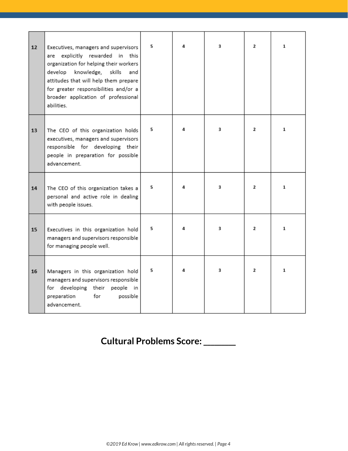| 12 | Executives, managers and supervisors<br>are explicitly rewarded in this<br>organization for helping their workers<br>knowledge, skills<br>develop<br>and<br>attitudes that will help them prepare<br>for greater responsibilities and/or a<br>broader application of professional<br>abilities. | 5 | 4 | 3 | $\mathbf{2}$ | 1            |
|----|-------------------------------------------------------------------------------------------------------------------------------------------------------------------------------------------------------------------------------------------------------------------------------------------------|---|---|---|--------------|--------------|
| 13 | The CEO of this organization holds<br>executives, managers and supervisors<br>responsible for developing their<br>people in preparation for possible<br>advancement.                                                                                                                            | 5 | 4 | 3 | $\mathbf{2}$ | $\mathbf{1}$ |
| 14 | The CEO of this organization takes a<br>personal and active role in dealing<br>with people issues.                                                                                                                                                                                              | 5 | 4 | 3 | $\mathbf{2}$ | $\mathbf{1}$ |
| 15 | Executives in this organization hold<br>managers and supervisors responsible<br>for managing people well.                                                                                                                                                                                       | 5 | 4 | 3 | $\mathbf{2}$ | 1            |
| 16 | Managers in this organization hold<br>managers and supervisors responsible<br>for developing their people in<br>preparation<br>for<br>possible<br>advancement.                                                                                                                                  | 5 | 4 | 3 | 2            | $\mathbf{1}$ |

## **Cultural Problems Score:\_\_\_\_\_\_\_\_\_**